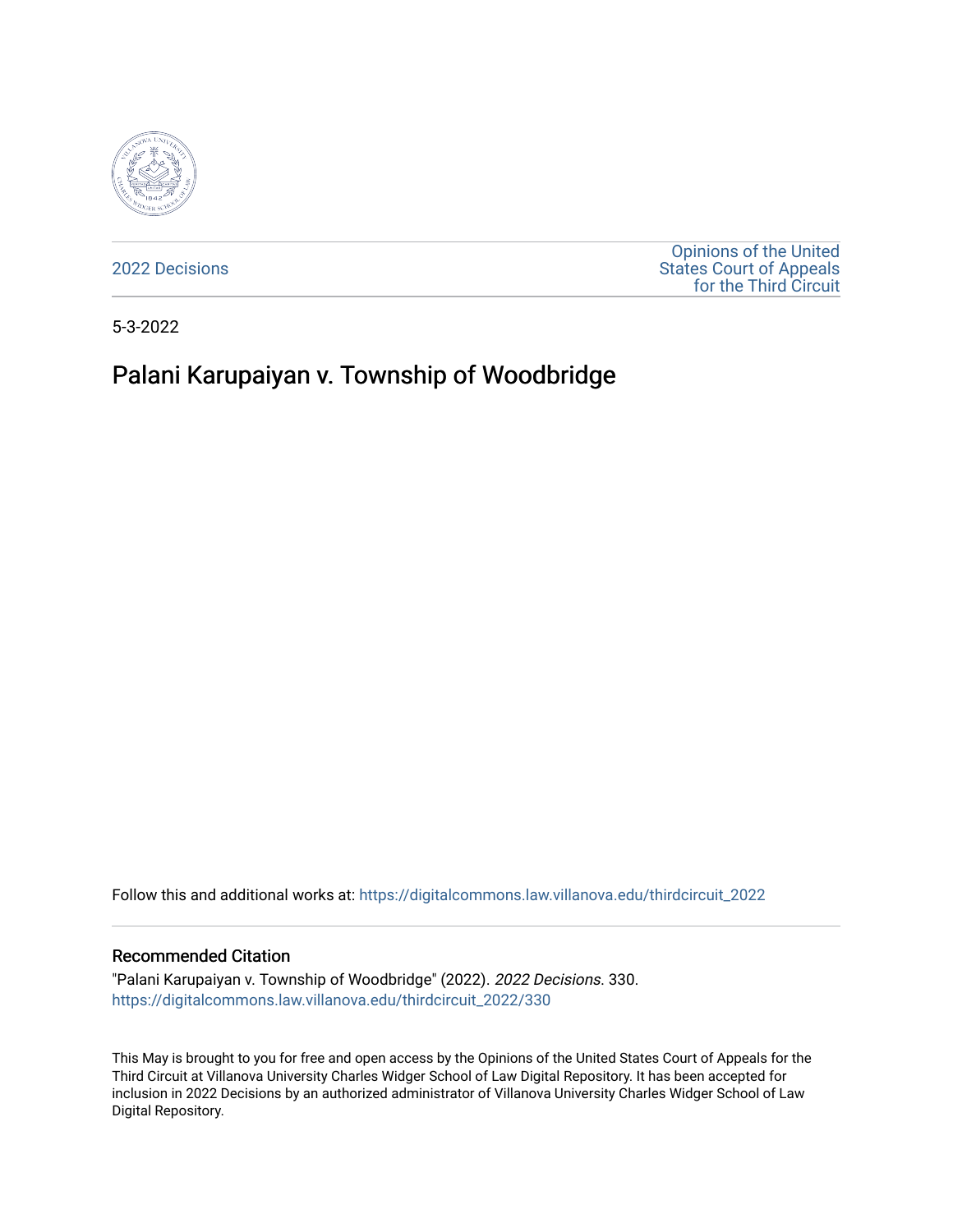

[2022 Decisions](https://digitalcommons.law.villanova.edu/thirdcircuit_2022)

[Opinions of the United](https://digitalcommons.law.villanova.edu/thirdcircuit)  [States Court of Appeals](https://digitalcommons.law.villanova.edu/thirdcircuit)  [for the Third Circuit](https://digitalcommons.law.villanova.edu/thirdcircuit) 

5-3-2022

# Palani Karupaiyan v. Township of Woodbridge

Follow this and additional works at: [https://digitalcommons.law.villanova.edu/thirdcircuit\\_2022](https://digitalcommons.law.villanova.edu/thirdcircuit_2022?utm_source=digitalcommons.law.villanova.edu%2Fthirdcircuit_2022%2F330&utm_medium=PDF&utm_campaign=PDFCoverPages) 

#### Recommended Citation

"Palani Karupaiyan v. Township of Woodbridge" (2022). 2022 Decisions. 330. [https://digitalcommons.law.villanova.edu/thirdcircuit\\_2022/330](https://digitalcommons.law.villanova.edu/thirdcircuit_2022/330?utm_source=digitalcommons.law.villanova.edu%2Fthirdcircuit_2022%2F330&utm_medium=PDF&utm_campaign=PDFCoverPages)

This May is brought to you for free and open access by the Opinions of the United States Court of Appeals for the Third Circuit at Villanova University Charles Widger School of Law Digital Repository. It has been accepted for inclusion in 2022 Decisions by an authorized administrator of Villanova University Charles Widger School of Law Digital Repository.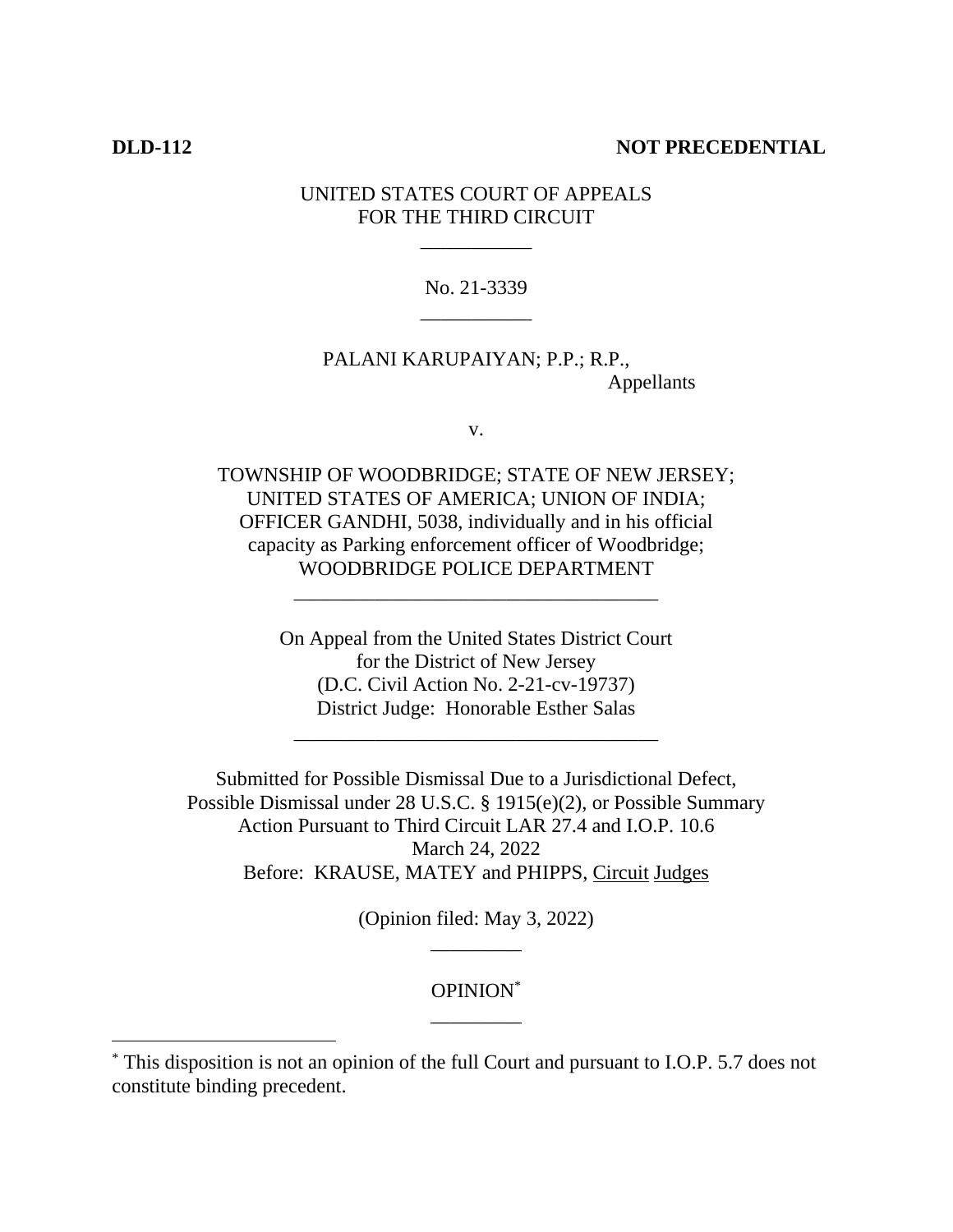# **DLD-112 NOT PRECEDENTIAL**

# UNITED STATES COURT OF APPEALS FOR THE THIRD CIRCUIT

\_\_\_\_\_\_\_\_\_\_\_

No. 21-3339 \_\_\_\_\_\_\_\_\_\_\_

PALANI KARUPAIYAN; P.P.; R.P., Appellants

v.

TOWNSHIP OF WOODBRIDGE; STATE OF NEW JERSEY; UNITED STATES OF AMERICA; UNION OF INDIA; OFFICER GANDHI, 5038, individually and in his official capacity as Parking enforcement officer of Woodbridge; WOODBRIDGE POLICE DEPARTMENT

\_\_\_\_\_\_\_\_\_\_\_\_\_\_\_\_\_\_\_\_\_\_\_\_\_\_\_\_\_\_\_\_\_\_\_\_

On Appeal from the United States District Court for the District of New Jersey (D.C. Civil Action No. 2-21-cv-19737) District Judge: Honorable Esther Salas

\_\_\_\_\_\_\_\_\_\_\_\_\_\_\_\_\_\_\_\_\_\_\_\_\_\_\_\_\_\_\_\_\_\_\_\_

Submitted for Possible Dismissal Due to a Jurisdictional Defect, Possible Dismissal under 28 U.S.C. § 1915(e)(2), or Possible Summary Action Pursuant to Third Circuit LAR 27.4 and I.O.P. 10.6 March 24, 2022 Before: KRAUSE, MATEY and PHIPPS, Circuit Judges

> (Opinion filed: May 3, 2022) \_\_\_\_\_\_\_\_\_

# OPINION\* \_\_\_\_\_\_\_\_\_

<sup>\*</sup> This disposition is not an opinion of the full Court and pursuant to I.O.P. 5.7 does not constitute binding precedent.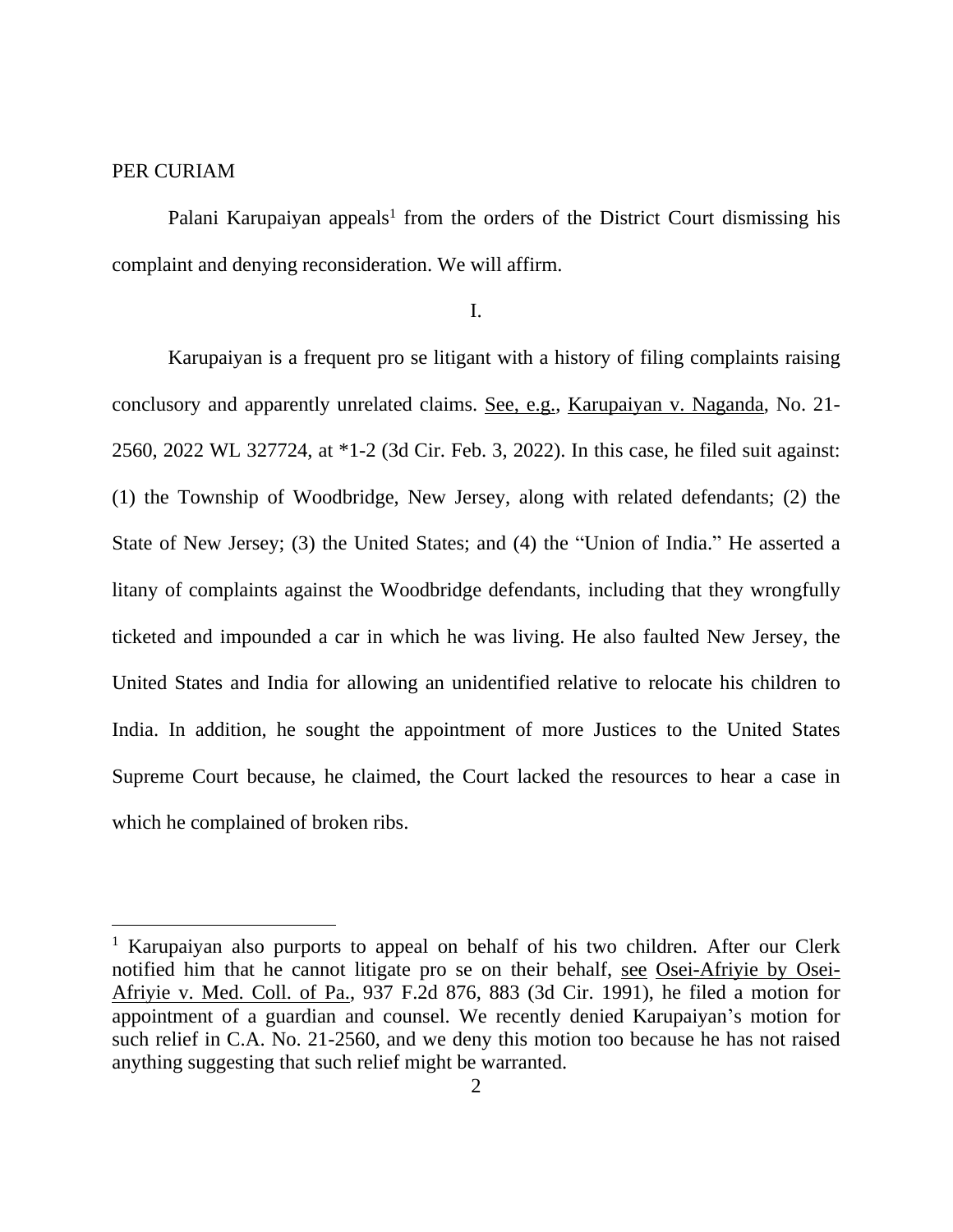## PER CURIAM

Palani Karupaiyan appeals<sup>1</sup> from the orders of the District Court dismissing his complaint and denying reconsideration. We will affirm.

I.

Karupaiyan is a frequent pro se litigant with a history of filing complaints raising conclusory and apparently unrelated claims. See, e.g., Karupaiyan v. Naganda, No. 21- 2560, 2022 WL 327724, at \*1-2 (3d Cir. Feb. 3, 2022). In this case, he filed suit against: (1) the Township of Woodbridge, New Jersey, along with related defendants; (2) the State of New Jersey; (3) the United States; and (4) the "Union of India." He asserted a litany of complaints against the Woodbridge defendants, including that they wrongfully ticketed and impounded a car in which he was living. He also faulted New Jersey, the United States and India for allowing an unidentified relative to relocate his children to India. In addition, he sought the appointment of more Justices to the United States Supreme Court because, he claimed, the Court lacked the resources to hear a case in which he complained of broken ribs.

<sup>&</sup>lt;sup>1</sup> Karupaiyan also purports to appeal on behalf of his two children. After our Clerk notified him that he cannot litigate pro se on their behalf, see Osei-Afriyie by Osei-Afriyie v. Med. Coll. of Pa., 937 F.2d 876, 883 (3d Cir. 1991), he filed a motion for appointment of a guardian and counsel. We recently denied Karupaiyan's motion for such relief in C.A. No. 21-2560, and we deny this motion too because he has not raised anything suggesting that such relief might be warranted.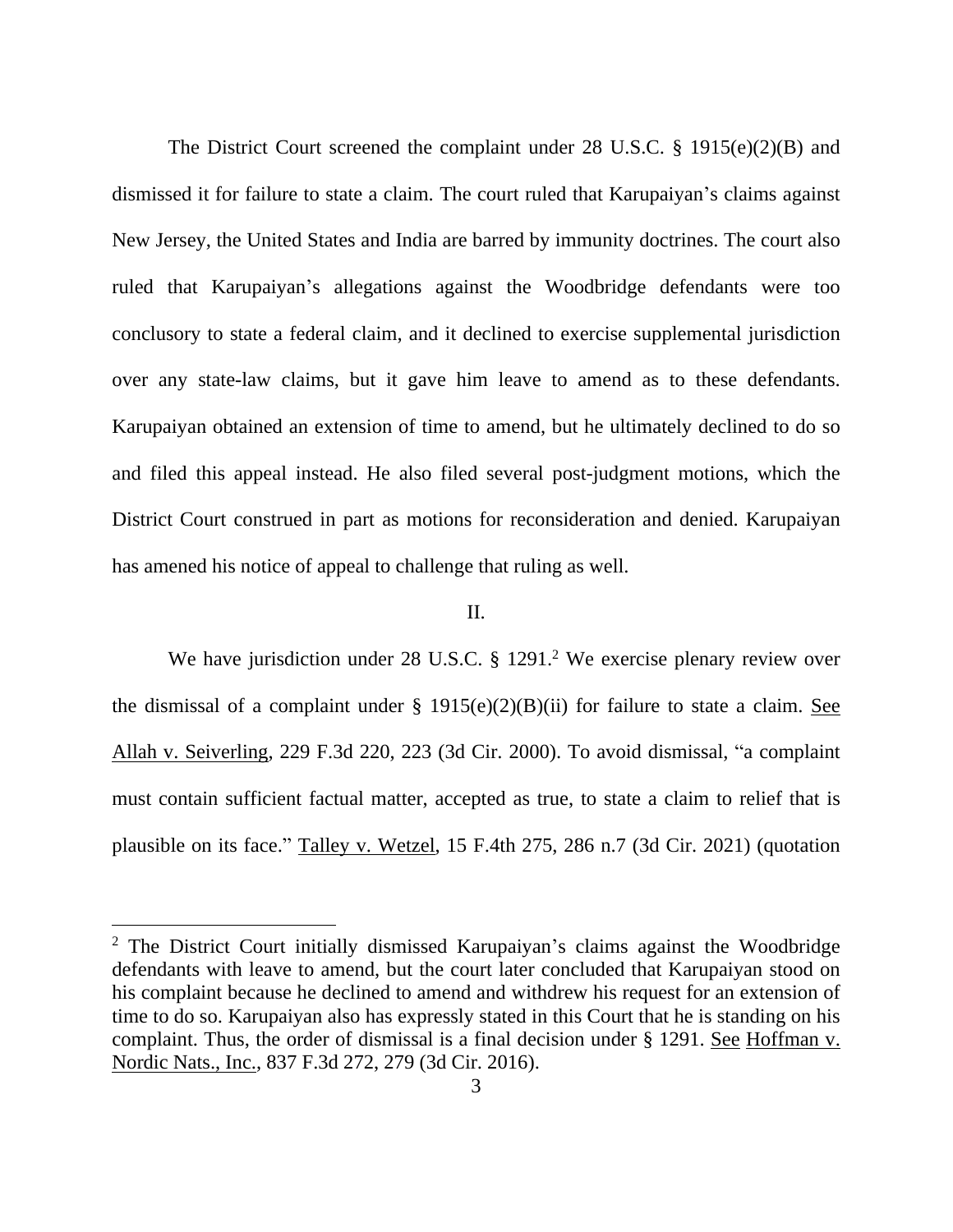The District Court screened the complaint under 28 U.S.C. § 1915(e)(2)(B) and dismissed it for failure to state a claim. The court ruled that Karupaiyan's claims against New Jersey, the United States and India are barred by immunity doctrines. The court also ruled that Karupaiyan's allegations against the Woodbridge defendants were too conclusory to state a federal claim, and it declined to exercise supplemental jurisdiction over any state-law claims, but it gave him leave to amend as to these defendants. Karupaiyan obtained an extension of time to amend, but he ultimately declined to do so and filed this appeal instead. He also filed several post-judgment motions, which the District Court construed in part as motions for reconsideration and denied. Karupaiyan has amened his notice of appeal to challenge that ruling as well.

## II.

We have jurisdiction under 28 U.S.C. § 1291.<sup>2</sup> We exercise plenary review over the dismissal of a complaint under  $\S$  1915(e)(2)(B)(ii) for failure to state a claim. See Allah v. Seiverling, 229 F.3d 220, 223 (3d Cir. 2000). To avoid dismissal, "a complaint must contain sufficient factual matter, accepted as true, to state a claim to relief that is plausible on its face." Talley v. Wetzel, 15 F.4th 275, 286 n.7 (3d Cir. 2021) (quotation

<sup>2</sup> The District Court initially dismissed Karupaiyan's claims against the Woodbridge defendants with leave to amend, but the court later concluded that Karupaiyan stood on his complaint because he declined to amend and withdrew his request for an extension of time to do so. Karupaiyan also has expressly stated in this Court that he is standing on his complaint. Thus, the order of dismissal is a final decision under § 1291. See Hoffman v. Nordic Nats., Inc., 837 F.3d 272, 279 (3d Cir. 2016).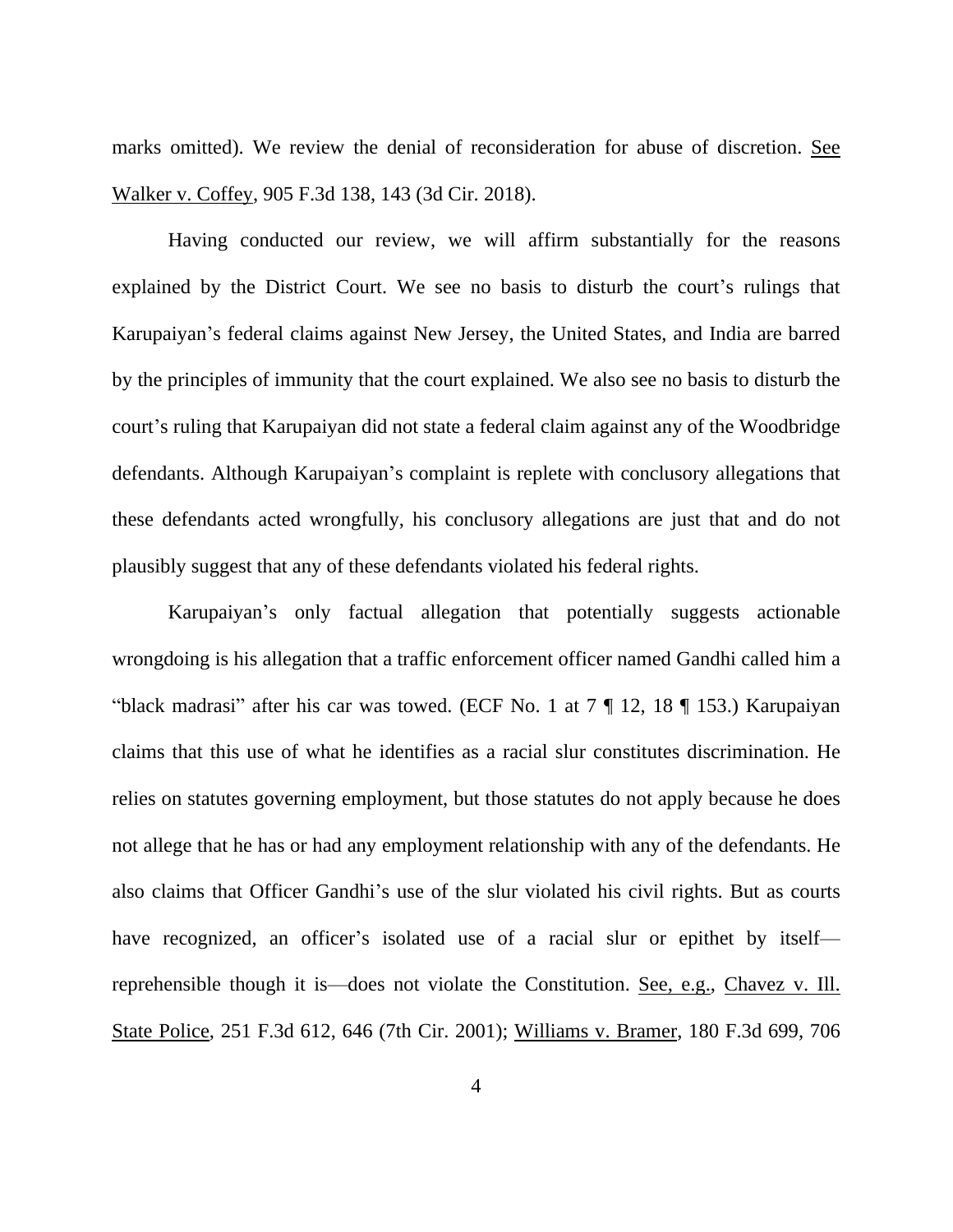marks omitted). We review the denial of reconsideration for abuse of discretion. See Walker v. Coffey, 905 F.3d 138, 143 (3d Cir. 2018).

Having conducted our review, we will affirm substantially for the reasons explained by the District Court. We see no basis to disturb the court's rulings that Karupaiyan's federal claims against New Jersey, the United States, and India are barred by the principles of immunity that the court explained. We also see no basis to disturb the court's ruling that Karupaiyan did not state a federal claim against any of the Woodbridge defendants. Although Karupaiyan's complaint is replete with conclusory allegations that these defendants acted wrongfully, his conclusory allegations are just that and do not plausibly suggest that any of these defendants violated his federal rights.

Karupaiyan's only factual allegation that potentially suggests actionable wrongdoing is his allegation that a traffic enforcement officer named Gandhi called him a "black madrasi" after his car was towed. (ECF No. 1 at 7 ¶ 12, 18 ¶ 153.) Karupaiyan claims that this use of what he identifies as a racial slur constitutes discrimination. He relies on statutes governing employment, but those statutes do not apply because he does not allege that he has or had any employment relationship with any of the defendants. He also claims that Officer Gandhi's use of the slur violated his civil rights. But as courts have recognized, an officer's isolated use of a racial slur or epithet by itself reprehensible though it is—does not violate the Constitution. See, e.g., Chavez v. Ill. State Police, 251 F.3d 612, 646 (7th Cir. 2001); Williams v. Bramer, 180 F.3d 699, 706